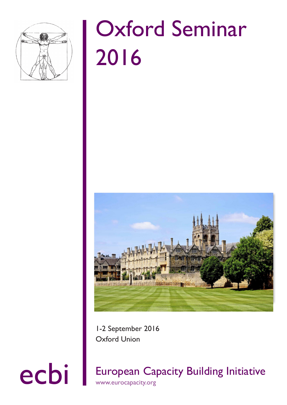

# Oxford Seminar 2016



1-2 September 2016 Oxford Union

ecbi European Capacity Building Initiative www.eurocapacity.org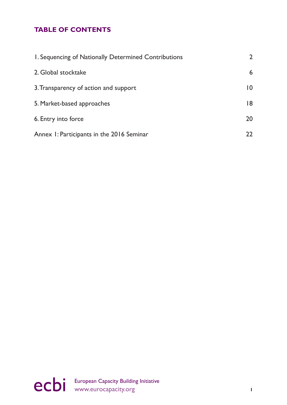# **TABLE OF CONTENTS**

| I. Sequencing of Nationally Determined Contributions | $\mathbf{2}^{\prime}$ |
|------------------------------------------------------|-----------------------|
| 2. Global stocktake                                  | 6                     |
| 3. Transparency of action and support                | $\overline{10}$       |
| 5. Market-based approaches                           | 18                    |
| 6. Entry into force                                  | 20                    |
| Annex 1: Participants in the 2016 Seminar            | $22 \,$               |

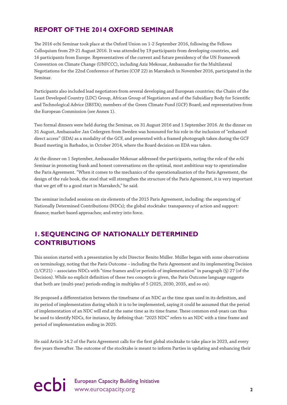## **REPORT OF THE 2014 OXFORD SEMINAR**

The 2016 ecbi Seminar took place at the Oxford Union on 1-2 September 2016, following the Fellows Colloquium from 29-21 August 2016. It was attended by 19 participants from developing countries, and 16 participants from Europe. Representatives of the current and future presidency of the UN Framework Convention on Climate Change (UNFCCC), including Aziz Mekouar, Ambassador for the Multilateral Negotiations for the 22nd Conference of Parties (COP 22) in Marrakech in November 2016, participated in the Seminar.

Participants also included lead negotiators from several developing and European countries; the Chairs of the Least Developed Country (LDC) Group, African Group of Negotiators and of the Subsidiary Body for Scientific and Technological Advice (SBSTA); members of the Green Climate Fund (GCF) Board; and representatives from the European Commission (see Annex 1).

Two formal dinners were held during the Seminar, on 31 August 2016 and 1 September 2016. At the dinner on 31 August, Ambassador Jan Cedergren from Sweden was honoured for his role in the inclusion of "enhanced direct access" (EDA) as a modality of the GCF, and presented with a framed photograph taken during the GCF Board meeting in Barbados, in October 2014, where the Board decision on EDA was taken.

At the dinner on 1 September, Ambassador Mekouar addressed the participants, noting the role of the ecbi Seminar in promoting frank and honest conversations on the optimal, most ambitious way to operationalise the Paris Agreement. "When it comes to the mechanics of the operationalisation of the Paris Agreement, the design of the rule book, the steel that will strengthen the structure of the Paris Agreement, it is very important that we get off to a good start in Marrakech," he said.

The seminar included sessions on six elements of the 2015 Paris Agreement, including: the sequencing of Nationally Determined Contributions (NDCs); the global stocktake: transparency of action and support: finance; market-based approaches; and entry into force.

# **1. SEQUENCING OF NATIONALLY DETERMINED CONTRIBUTIONS**

This session started with a presentation by ecbi Director Benito Müller. Müller began with some observations on terminology, noting that the Paris Outcome – including the Paris Agreement and its implementing Decision (1/CP.21) – associates NDCs with "time frames and/or periods of implementation" in paragraph (§) 27 (of the Decision). While no explicit definition of these two concepts is given, the Paris Outcome language suggests that both are (multi-year) periods ending in multiples of 5 (2025, 2030, 2035, and so on).

He proposed a differentiation between the timeframe of an NDC as the time span used in its definition, and its period of implementation during which it is to be implemented, saying it could be assumed that the period of implementation of an NDC will end at the same time as its time frame. These common end-years can thus be used to identify NDCs, for instance, by defining that: "2025 NDC" refers to an NDC with a time frame and period of implementation ending in 2025.

He said Article 14.2 of the Paris Agreement calls for the first global stocktake to take place in 2023, and every five years thereafter. The outcome of the stocktake is meant to inform Parties in updating and enhancing their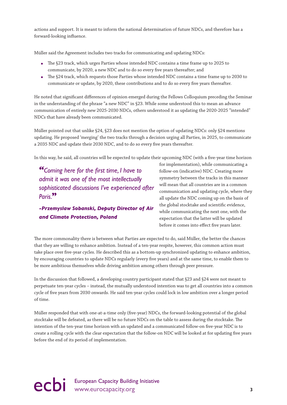actions and support. It is meant to inform the national determination of future NDCs, and therefore has a forward-looking influence.

Müller said the Agreement includes two tracks for communicating and updating NDCs:

- The §23 track, which urges Parties whose intended NDC contains a time frame up to 2025 to communicate, by 2020, a new NDC and to do so every five years thereafter; and
- The §24 track, which requests those Parties whose intended NDC contains a time frame up to 2030 to communicate or update, by 2020, these contributions and to do so every five years thereafter.

He noted that significant differences of opinion emerged during the Fellows Colloquium preceding the Seminar in the understanding of the phrase "a new NDC" in §23. While some understood this to mean an advance communication of entirely new 2025-2030 NDCs, others understood it as updating the 2020-2025 "intended" NDCs that have already been communicated.

Müller pointed out that unlike §24, §23 does not mention the option of updating NDCs: only §24 mentions updating. He proposed 'merging' the two tracks through a decision urging all Parties, in 2025, to communicate a 2035 NDC and update their 2030 NDC, and to do so every five years thereafter.

In this way, he said, all countries will be expected to update their upcoming NDC (with a five-year time horizon

*"Coming here for the first time, I have to admit it was one of the most intellectually sophisticated discussions I've experienced after Paris.***"**

*-Przemyslaw Sobanski, Deputy Director of Air and Climate Protection, Poland*

for implementation), while communicating a follow-on (indicative) NDC. Creating more symmetry between the tracks in this manner will mean that all countries are in a common communication and updating cycle, where they all update the NDC coming up on the basis of the global stocktake and scientific evidence, while communicating the next one, with the expectation that the latter will be updated before it comes into effect five years later.

The more commonality there is between what Parties are expected to do, said Müller, the better the chances that they are willing to enhance ambition. Instead of a ten-year respite, however, this common action must take place over five-year cycles. He described this as a bottom-up synchronized updating to enhance ambition, by encouraging countries to update NDCs regularly (every five years) and at the same time, to enable them to be more ambitious themselves while driving ambition among others through peer pressure.

In the discussion that followed, a developing country participant stated that §23 and §24 were not meant to perpetuate ten-year cycles – instead, the mutually understood intention was to get all countries into a common cycle of five years from 2030 onwards. He said ten-year cycles could lock in low ambition over a longer period of time.

Müller responded that with one-at-a-time only (five-year) NDCs, the forward-looking potential of the global stocktake will be defeated, as there will be no future NDCs on the table to assess during the stocktake. The intention of the ten-year time horizon with an updated and a communicated follow-on five-year NDC is to create a rolling cycle with the clear expectation that the follow-on NDC will be looked at for updating five years before the end of its period of implementation.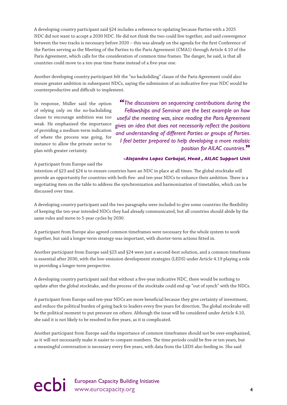A developing country participant said §24 includes a reference to updating because Parties with a 2025 NDC did not want to accept a 2030 NDC. He did not think the two could live together, and said convergence between the two tracks is necessary before 2020 – this was already on the agenda for the first Conference of the Parties serving as the Meeting of the Parties to the Paris Agreement (CMA1) through Article 4.10 of the Paris Agreement, which calls for the consideration of common time frames. The danger, he said, is that all countries could move to a ten-year time frame instead of a five-year one.

Another developing country participant felt the "no backsliding" clause of the Paris Agreement could also ensure greater ambition in subsequent NDCs, saying the submission of an indicative five-year NDC would be counterproductive and difficult to implement.

In response, Müller said the option of relying only on the no-backsliding clause to encourage ambition was too weak. He emphasized the importance of providing a medium-term indication of where the process was going, for instance to allow the private sector to plan with greater certainty.

*"The discussions on sequencing contributions during the Fellowships and Seminar are the best example on how useful the meeting was, since reading the Paris Agreement gives an idea that does not necessarily reflect the positions and understanding of different Parties or groups of Parties. I feel better prepared to help developing a more realistic position for AILAC countries.***"**

#### *-Alejandra Lopez Carbajal, Head , AILAC Support Unit*

#### A participant from Europe said the

intention of §23 and §24 is to ensure countries have an NDC in place at all times. The global stocktake will provide an opportunity for countries with both five- and ten-year NDCs to enhance their ambition. There is a negotiating item on the table to address the synchronization and harmonization of timetables, which can be discussed over time.

A developing country participant said the two paragraphs were included to give some countries the flexibility of keeping the ten-year intended NDCs they had already communicated, but all countries should abide by the same rules and move to 5-year cycles by 2030.

A participant from Europe also agreed common timeframes were necessary for the whole system to work together, but said a longer-term strategy was important, with shorter-term actions fitted in.

Another participant from Europe said §23 and §24 were just a second-best solution, and a common timeframe is essential after 2030, with the low-emission development strategies (LEDS) under Article 4.19 playing a role in providing a longer-term perspective.

A developing country participant said that without a five-year indicative NDC, there would be nothing to update after the global stocktake, and the process of the stocktake could end up "out of synch" with the NDCs.

A participant from Europe said ten-year NDCs are more beneficial because they give certainty of investment, and reduce the political burden of going back to leaders every five years for direction. The global stocktake will be the political moment to put pressure on others. Although the issue will be considered under Article 4.10, she said it is not likely to be resolved in five years, as it is complicated.

Another participant from Europe said the importance of common timeframes should not be over-emphasized, as it will not necessarily make it easier to compare numbers. The time periods could be five or ten years, but a meaningful conversation is necessary every five years, with data from the LEDS also feeding in. She said

ecbi European Capacity Building Initiative<br>
4<br> **4**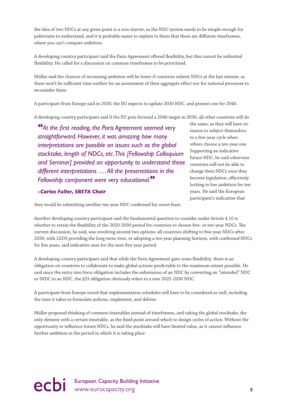the idea of two NDCs at any given point is a non-starter, as the NDC system needs to be simple enough for politicians to understand, and it is probably easier to explain to them that there are different timeframes, where you can't compare ambition.

A developing country participant said the Paris Agreement offered flexibility, but this cannot be unlimited flexibility. He called for a discussion on common timeframes to be prioritised.

Müller said the chances of increasing ambition will be lower if countries submit NDCs at the last minute, as there won't be sufficient time neither for an assessment of their aggregate effect nor for national processes to reconsider them.

A participant from Europe said in 2020, the EU expects to update 2030 NDC, and present one for 2040.

A developing country participant said if the EU puts forward a 2040 target in 2030, all other countries will do

*"At the first reading, the Paris Agreement seemed very straightforward. However, it was amazing how many interpretations are possible on issues such as the global stocktake, length of NDCs, etc. This [Fellowship Colloquium and Seminar] provided an opportunity to understand these different interpretations …. All the presentations in the Fellowship component were very educational.***"**

#### *-Carlos Fuller, SBSTA Chair*

the same, as they will have no reason to subject themselves to a five-year cycle when others choose a ten-year one. Supporting an indicative future NDC, he said otherwise countries will not be able to change their NDCs once they become legislation, effectively locking in low ambition for ten years. He said the European participant's indication that

they would be submitting another ten-year NDC confirmed his worst fears.

Another developing country participant said the fundamental question to consider under Article 4.10 is whether to retain the flexibility of the 2020-2030 period for countries to choose five- or ten-year NDCs. The current discussion, he said, was revolving around two options: all countries shifting to five-year NDCs after 2030, with LEDS providing the long-term view; or adopting a ten-year planning horizon, with confirmed NDCs for five years, and indicative ones for the next five-year period.

A developing country participant said that while the Paris Agreement gave some flexibility, there is an obligation on countries to collaborate to make global actions predictable to the maximum extent possible. He said since the entry into force obligation includes the submission of an NDC by converting an "intended" NDC or INDC to an NDC, the §23 obligation obviously refers to a new 2025-2030 NDC.

A participant from Europe noted that implementation schedules will have to be considered as well, including the time it takes to formulate policies, implement, and deliver.

Müller proposed thinking of common timetables instead of timeframes, and taking the global stocktake, the only element with a certain timetable, as the fixed point around which to design cycles of action. Without the opportunity to influence future NDCs, he said the stocktake will have limited value, as it cannot influence further ambition in the period in which it is taking place.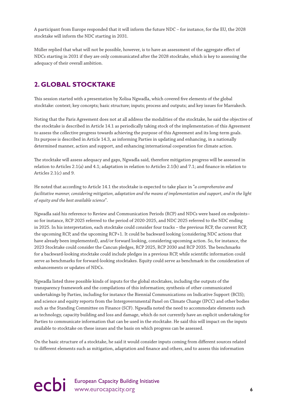A participant from Europe responded that it will inform the future NDC – for instance, for the EU, the 2028 stocktake will inform the NDC starting in 2031.

Müller replied that what will not be possible, however, is to have an assessment of the aggregate effect of NDCs starting in 2031 if they are only communicated after the 2028 stocktake, which is key to assessing the adequacy of their overall ambition.

# **2. GLOBAL STOCKTAKE**

This session started with a presentation by Xolisa Ngwadla, which covered five elements of the global stocktake: context; key concepts; basic structure; inputs; process and outputs; and key issues for Marrakech.

Noting that the Paris Agreement does not at all address the modalities of the stocktake, he said the objective of the stocktake is described in Article 14.1 as periodically taking stock of the implementation of this Agreement to assess the collective progress towards achieving the purpose of this Agreement and its long-term goals. Its purpose is described in Article 14.3, as informing Parties in updating and enhancing, in a nationally determined manner, action and support, and enhancing international cooperation for climate action.

The stocktake will assess adequacy and gaps, Ngwadla said, therefore mitigation progress will be assessed in relation to Articles 2.1(a) and 4.1; adaptation in relation to Articles 2.1(b) and 7.1; and finance in relation to Articles 2.1(c) and 9.

He noted that according to Article 14.1 the stocktake is expected to take place in "*a comprehensive and facilitative manner, considering mitigation, adaptation and the means of implementation and support, and in the light of equity and the best available science*".

Ngwadla said his reference to Review and Communication Periods (RCP) and NDCs were based on endpoints– so for instance, RCP 2025 referred to the period of 2020-2025, and NDC 2025 referred to the NDC ending in 2025. In his interpretation, each stocktake could consider four tracks – the previous RCP, the current RCP, the upcoming RCP, and the upcoming RCP+1. It could be backward looking (considering NDC actions that have already been implemented), and/or forward looking, considering upcoming action. So, for instance, the 2023 Stocktake could consider the Cancun pledges, RCP 2025, RCP 2030 and RCP 2035. The benchmarks for a backward-looking stocktake could include pledges in a previous RCP, while scientific information could serve as benchmarks for forward-looking stocktakes. Equity could serve as benchmark in the consideration of enhancements or updates of NDCs.

Ngwadla listed three possible kinds of inputs for the global stocktakes, including the outputs of the transparency framework and the compilations of this information; synthesis of other communicated undertakings by Parties, including for instance the Biennial Communications on Indicative Support (BCIS); and science and equity reports from the Intergovernmental Panel on Climate Change (IPCC) and other bodies such as the Standing Committee on Finance (SCF). Ngwadla noted the need to accommodate elements such as technology, capacity building and loss and damage, which do not currently have an explicit undertaking for Parties to communicate information that can be used in the stocktake. He said this will impact on the inputs available to stocktake on these issues and the basis on which progress can be assessed.

On the basic structure of a stocktake, he said it would consider inputs coming from different sources related to different elements such as mitigation, adaptation and finance and others, and to assess this information

# ecbi European Capacity Building Initiative **6**<br> **example 20** intervention of the www.eurocapacity.org **6**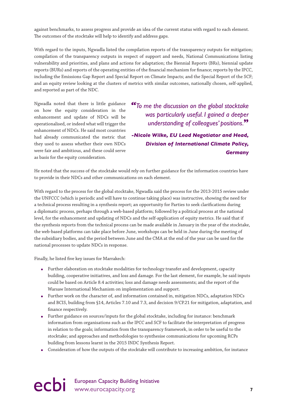against benchmarks, to assess progress and provide an idea of the current status with regard to each element. The outcomes of the stocktake will help to identify and address gaps.

With regard to the inputs, Ngwadla listed the compilation reports of the transparency outputs for mitigation; compilation of the transparency outputs in respect of support and needs, National Communications listing vulnerability and priorities, and plans and actions for adaptation; the Biennial Reports (BRs), biennial update reports (BURs) and reports of the operating entities of the financial mechanism for finance; reports by the IPCC, including the Emissions Gap Report and Special Report on Climate Impacts; and the Special Report of the SCF; and an equity review looking at the clusters of metrics with similar outcomes, nationally chosen, self-applied, and reported as part of the NDC.

Ngwadla noted that there is little guidance on how the equity consideration in the enhancement and update of NDCs will be operationalised, or indeed what will trigger the enhancement of NDCs. He said most countries had already communicated the metric that they used to assess whether their own NDCs were fair and ambitious, and these could serve as basis for the equity consideration.

*"To me the discussion on the global stocktake was particularly useful. I gained a deeper understanding of colleagues' positions.***"**

*-Nicole Wilke, EU Lead Negotiator and Head, Division of International Climate Policy, Germany*

He noted that the success of the stocktake would rely on further guidance for the information countries have to provide in their NDCs and other communications on each element.

With regard to the process for the global stocktake, Ngwadla said the process for the 2013-2015 review under the UNFCCC (which is periodic and will have to continue taking place) was instructive, showing the need for a technical process resulting in a synthesis report; an opportunity for Parties to seek clarifications during a diplomatic process, perhaps through a web-based platform; followed by a political process at the national level, for the enhancement and updating of NDCs and the self-application of equity metrics. He said that if the synthesis reports from the technical process can be made available in January in the year of the stocktake, the web-based platforms can take place before June, workshops can be held in June during the meeting of the subsidiary bodies, and the period between June and the CMA at the end of the year can be used for the national processes to update NDCs in response.

Finally, he listed five key issues for Marrakech:

- Further elaboration on stocktake modalities for technology transfer and development, capacity building, cooperative initiatives, and loss and damage. For the last element, for example, he said inputs could be based on Article 8.4 activities; loss and damage needs assessments; and the report of the Warsaw International Mechanism on implementation and support.
- Further work on the character of, and information contained in, mitigation NDCs, adaptation NDCs and BCIS, building from §14, Articles 7.10 and 7.3, and decision 9/CP.21 for mitigation, adaptation, and finance respectively.
- Further guidance on sources/inputs for the global stocktake, including for instance: benchmark information from organisations such as the IPCC and SCF to facilitate the interpretation of progress in relation to the goals; information from the transparency framework, in order to be useful to the stocktake; and approaches and methodologies to synthesise communications for upcoming RCPs building from lessons learnt in the 2015 INDC Synthesis Report.
- Consideration of how the outputs of the stocktake will contribute to increasing ambition, for instance

# ecbi European Capacity Building Initiative<br> **PCDi** www.eurocapacity.org **7**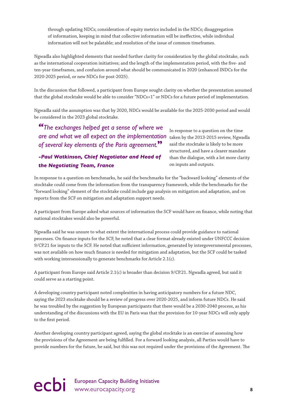through updating NDCs; consideration of equity metrics included in the NDCs; disaggregation of information, keeping in mind that collective information will be ineffective, while individual information will not be palatable; and resolution of the issue of common timeframes.

Ngwadla also highlighted elements that needed further clarity for consideration by the global stocktake, such as the international cooperation initiatives; and the length of the implementation period, with the five- and ten-year timeframes, and confusion around what should be communicated in 2020 (enhanced INDCs for the 2020-2025 period, or new NDCs for post-2025).

In the discussion that followed, a participant from Europe sought clarity on whether the presentation assumed that the global stocktake would be able to consider "NDCs+1" or NDCs for a future period of implementation.

Ngwadla said the assumption was that by 2020, NDCs would be available for the 2025-2030 period and would be considered in the 2023 global stocktake.

are and what we all expect on the implementation taken by the 2013-2015 review, Ngwadla *"The exchanges helped get a sense of where we of several key elements of the Paris agreement.***"**

### *-Paul Watkinson, Chief Negotiator and Head of the Negotiating Team, France*

In response to a question on the time said the stocktake is likely to be more structured, and have a clearer mandate than the dialogue, with a lot more clarity on inputs and outputs.

In response to a question on benchmarks, he said the benchmarks for the "backward looking" elements of the stocktake could come from the information from the transparency framework, while the benchmarks for the "forward looking" element of the stocktake could include gap analysis on mitigation and adaptation, and on reports from the SCF on mitigation and adaptation support needs.

A participant from Europe asked what sources of information the SCF would have on finance, while noting that national stocktakes would also be powerful.

Ngwadla said he was unsure to what extent the international process could provide guidance to national processes. On finance inputs for the SCF, he noted that a clear format already existed under UNFCCC decision 9/CP.21 for inputs to the SCF. He noted that sufficient information, generated by intergovernmental processes, was not available on how much finance is needed for mitigation and adaptation, but the SCF could be tasked with working intersessionally to generate benchmarks for Article 2.1(c).

A participant from Europe said Article 2.1(c) is broader than decision 9/CP.21. Ngwadla agreed, but said it could serve as a starting point.

A developing country participant noted complexities in having anticipatory numbers for a future NDC, saying the 2023 stocktake should be a review of progress over 2020-2025, and inform future NDCs. He said he was troubled by the suggestion by European participants that there would be a 2030-2040 process, as his understanding of the discussions with the EU in Paris was that the provision for 10-year NDCs will only apply to the first period.

Another developing country participant agreed, saying the global stocktake is an exercise of assessing how the provisions of the Agreement are being fulfilled. For a forward looking analysis, all Parties would have to provide numbers for the future, he said, but this was not required under the provisions of the Agreement. The

# ecbi European Capacity Building Initiative<br>
8<sup>8</sup>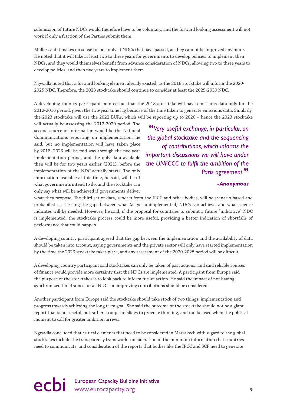submission of future NDCs would therefore have to be voluntary, and the forward looking assessment will not work if only a fraction of the Parties submit them.

Müller said it makes no sense to look only at NDCs that have passed, as they cannot be improved any more. He noted that it will take at least two to three years for governments to develop policies to implement their NDCs, and they would themselves benefit from advance consideration of NDCs, allowing two to three years to develop policies, and then five years to implement them.

Ngwadla noted that a forward looking element already existed, as the 2018 stocktake will inform the 2020- 2025 NDC. Therefore, the 2023 stocktake should continue to consider at least the 2025-2030 NDC.

A developing country participant pointed out that the 2018 stocktake will have emissions data only for the 2012-2016 period, given the two-year time lag because of the time taken to generate emissions data. Similarly, the 2023 stocktake will use the 2022 BURs, which will be reporting up to 2020 – hence the 2023 stocktake

will actually be assessing the 2012-2020 period. The second source of information would be the National Communications reporting on implementation, he said, but no implementation will have taken place by 2018. 2023 will be mid-way through the five-year implementation period, and the only data available then will be for two years earlier (2021), before the implementation of the NDC actually starts. The only information available at this time, he said, will be of what governments intend to do, and the stocktake can only say what will be achieved if governments deliver

*"Very useful exchange, in particular, on the global stocktake and the sequencing of contributions, which informs the important discussions we will have under the UNFCCC to fulfil the ambition of the Paris agreement.***"**

#### *-Anonymous*

what they propose. The third set of data, reports from the IPCC and other bodies, will be scenario-based and probabilistic, assessing the gaps between what (as yet unimplemented) NDCs can achieve, and what science indicates will be needed. However, he said, if the proposal for countries to submit a future "indicative" NDC is implemented, the stocktake process could be more useful, providing a better indication of shortfalls of performance that could happen.

A developing country participant agreed that the gap between the implementation and the availability of data should be taken into account, saying governments and the private sector will only have started implementation by the time the 2023 stocktake takes place, and any assessment of the 2020-2025 period will be difficult.

A developing country participant said stocktakes can only be taken of past actions, and said reliable sources of finance would provide more certainty that the NDCs are implemented. A participant from Europe said the purpose of the stocktakes is to look back to inform future action. He said the impact of not having synchronized timeframes for all NDCs on improving contributions should be considered.

Another participant from Europe said the stocktake should take stock of two things: implementation and progress towards achieving the long term goal. She said the outcome of the stocktake should not be a giant report that is not useful, but rather a couple of slides to provoke thinking, and can be used when the political moment to call for greater ambition arrives.

Ngwadla concluded that critical elements that need to be considered in Marrakech with regard to the global stocktakes include the transparency framework; consideration of the minimum information that countries need to communicate; and consideration of the reports that bodies like the IPCC and SCF need to generate

# ecbi European Capacity Building Initiative<br>
9<br>
9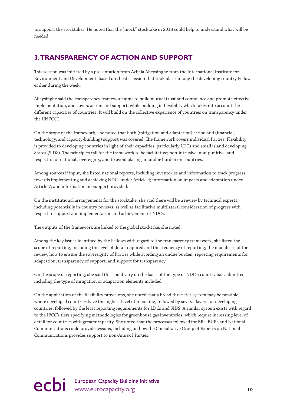to support the stocktakes. He noted that the "mock" stocktake in 2018 could help to understand what will be needed.

### **3. TRANSPARENCY OF ACTION AND SUPPORT**

This session was initiated by a presentation from Achala Abeysinghe from the International Institute for Environment and Development, based on the discussion that took place among the developing country Fellows earlier during the week.

Abeysinghe said the transparency framework aims to build mutual trust and confidence and promote effective implementation, and covers action and support, while building in flexibility which takes into account the different capacities of countries. It will build on the collective experience of countries on transparency under the UNFCCC.

On the scope of the framework, she noted that both (mitigation and adaptation) action and (financial, technology, and capacity-building) support was covered. The framework covers individual Parties. Flexibility is provided to developing countries in light of their capacities, particularly LDCs and small island developing States (SIDS). The principles call for the framework to be facilitative; non-intrusive; non-punitive; and respectful of national sovereignty, and to avoid placing an undue burden on countries.

Among sources if input, she listed national reports, including inventories and information to track progress towards implementing and achieving NDCs under Article 4; information on impacts and adaptation under Article 7; and information on support provided.

On the institutional arrangements for the stocktake, she said there will be a review by technical experts, including potentially in-country reviews, as well as facilitative multilateral consideration of progress with respect to support and implementation and achievement of NDCs.

The outputs of the framework are linked to the global stocktake, she noted.

Among the key issues identified by the Fellows with regard to the transparency framework, she listed the scope of reporting, including the level of detail required and the frequency of reporting; the modalities of the review; how to ensure the sovereignty of Parties while avoiding an undue burden; reporting requirements for adaptation; transparency of support; and support for transparency.

On the scope of reporting, she said this could vary on the basis of the type of NDC a country has submitted, including the type of mitigation or adaptation elements included.

On the application of the flexibility provisions, she noted that a broad three-tier system may be possible, where developed countries have the highest level of reporting, followed by several layers for developing countries; followed by the least reporting requirements for LDCs and SIDS. A similar system exists with regard to the IPCC's tiers specifying methodologies for greenhouse gas inventories, which require increasing level of detail for countries with greater capacity. She noted that the processes followed for BRs, BURs and National Communications could provide lessons, including on how the Consultative Group of Experts on National Communications provides support to non-Annex I Parties.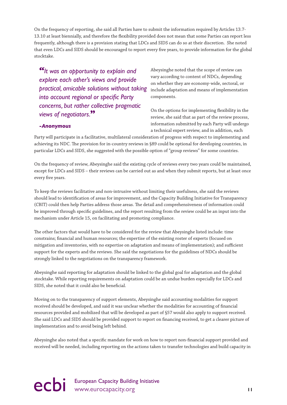On the frequency of reporting, she said all Parties have to submit the information required by Articles 13.7- 13.10 at least biennially, and therefore the flexibility provided does not mean that some Parties can report less frequently, although there is a provision stating that LDCs and SIDS can do so at their discretion. She noted that even LDCs and SIDS should be encouraged to report every five years, to provide information for the global stocktake.

*"It was an opportunity to explain and explore each other's views and provide practical, amicable solutions without taking into account regional or specific Party concerns, but rather collective pragmatic views of negotiators.***"**

Abeysinghe noted that the scope of review can vary according to content of NDCs, depending on whether they are economy-wide, sectoral, or include adaptation and means of implementation components.

On the options for implementing flexibility in the review, she said that as part of the review process, information submitted by each Party will undergo a technical expert review, and in addition, each

#### *-Anonymous*

Party will participate in a facilitative, multilateral consideration of progress with respect to implementing and achieving its NDC. The provision for in-country reviews in §89 could be optional for developing countries, in particular LDCs and SIDS, she suggested with the possible option of "group reviews" for some countries.

On the frequency of review, Abeysinghe said the existing cycle of reviews every two years could be maintained, except for LDCs and SIDS – their reviews can be carried out as and when they submit reports, but at least once every five years.

To keep the reviews facilitative and non-intrusive without limiting their usefulness, she said the reviews should lead to identification of areas for improvement, and the Capacity Building Initiative for Transparency (CBIT) could then help Parties address those areas. The detail and comprehensiveness of information could be improved through specific guidelines, and the report resulting from the review could be an input into the mechanism under Article 15, on facilitating and promoting compliance.

The other factors that would have to be considered for the review that Abeysinghe listed include: time constrains; financial and human resources; the expertise of the existing roster of experts (focused on mitigation and inventories, with no expertise on adaptation and means of implementation); and sufficient support for the experts and the reviews. She said the negotiations for the guidelines of NDCs should be strongly linked to the negotiations on the transparency framework.

Abeysinghe said reporting for adaptation should be linked to the global goal for adaptation and the global stocktake. While reporting requirements on adaptation could be an undue burden especially for LDCs and SIDS, she noted that it could also be beneficial.

Moving on to the transparency of support elements, Abeysinghe said accounting modalities for support received should be developed, and said it was unclear whether the modalities for accounting of financial resources provided and mobilized that will be developed as part of §57 would also apply to support received. She said LDCs and SIDS should be provided support to report on financing received, to get a clearer picture of implementation and to avoid being left behind.

Abeysinghe also noted that a specific mandate for work on how to report non-financial support provided and received will be needed, including reporting on the actions taken to transfer technologies and build capacity in

# ecbi European Capacity Building Initiative www.eurocapacity.org **11**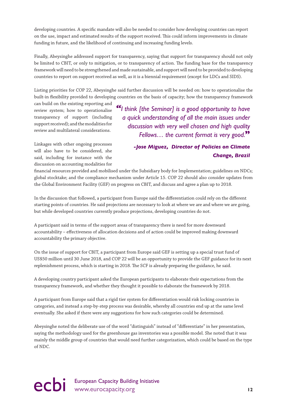developing countries. A specific mandate will also be needed to consider how developing countries can report on the use, impact and estimated results of the support received. This could inform improvements in climate funding in future, and the likelihood of continuing and increasing funding levels.

Finally, Abeysinghe addressed support for transparency, saying that support for transparency should not only be limited to CBIT, or only to mitigation, or to transparency of action. The funding base for the transparency framework will need to be strengthened and made sustainable, and support will need to be provided to developing countries to report on support received as well, as it is a biennial requirement (except for LDCs and SIDS).

Listing priorities for COP 22, Abeysinghe said further discussion will be needed on: how to operationalise the built-in flexibility provided to developing countries on the basis of capacity; how the transparency framework

can build on the existing reporting and review system; how to operationalise transparency of support (including support received); and the modalities for review and multilateral considerations.

Linkages with other ongoing processes will also have to be considered, she said, including for instance with the discussion on accounting modalities for

# *"I think [the Seminar] is a good opportunity to have a quick understanding of all the main issues under discussion with very well chosen and high quality Fellows… the current format is very good.***"**

### *-Jose Miguez, Director of Policies on Climate Change, Brazil*

financial resources provided and mobilised under the Subsidiary body for Implementation; guidelines on NDCs; global stocktake; and the compliance mechanism under Article 15. COP 22 should also consider updates from the Global Environment Facility (GEF) on progress on CBIT, and discuss and agree a plan up to 2018.

In the discussion that followed, a participant from Europe said the differentiation could rely on the different starting points of countries. He said projections are necessary to look at where we are and where we are going, but while developed countries currently produce projections, developing countries do not.

A participant said in terms of the support areas of transparency there is need for more downward accountability – effectiveness of allocation decisions and of action could be improved making downward accountability the primary objective.

On the issue of support for CBIT, a participant from Europe said GEF is setting up a special trust fund of US\$50 million until 30 June 2018, and COP 22 will be an opportunity to provide the GEF guidance for its next replenishment process, which is starting in 2018. The SCF is already preparing the guidance, he said.

A developing country participant asked the European participants to elaborate their expectations from the transparency framework, and whether they thought it possible to elaborate the framework by 2018.

A participant from Europe said that a rigid tier system for differentiation would risk locking countries in categories, and instead a step-by-step process was desirable, whereby all countries end up at the same level eventually. She asked if there were any suggestions for how such categories could be determined.

Abeysinghe noted the deliberate use of the word "distinguish" instead of "differentiate" in her presentation, saying the methodology used for the greenhouse gas inventories was a possible model. She noted that it was mainly the middle group of countries that would need further categorization, which could be based on the type of NDC.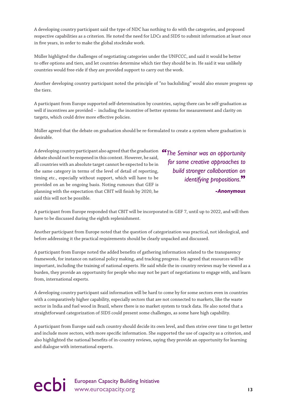A developing country participant said the type of NDC has nothing to do with the categories, and proposed respective capabilities as a criterion. He noted the need for LDCs and SIDS to submit information at least once in five years, in order to make the global stocktake work.

Müller highligted the challenges of negotiating categories under the UNFCCC, and said it would be better to offer options and tiers, and let countries determine which tier they should be in. He said it was unlikely countries would free-ride if they are provided support to carry out the work.

Another developing country participant noted the principle of "no backsliding" would also ensure progress up the tiers.

A participant from Europe supported self-determination by countries, saying there can be self-graduation as well if incentives are provided – including the incentive of better systems for measurement and clarity on targets, which could drive more effective policies.

Müller agreed that the debate on graduation should be re-formulated to create a system where graduation is desirable.

A developing country participant also agreed that the graduation *"The Seminar was an opportunity*  debate should not be reopened in this context. However, he said, all countries with an absolute target cannot be expected to be in the same category in terms of the level of detail of reporting, timing etc., especially without support, which will have to be provided on an be ongoing basis. Noting rumours that GEF is planning with the expectation that CBIT will finish by 2020, he said this will not be possible.

*for some creative approaches to build stronger collaboration on identifying propositions.***"**

*-Anonymous*

A participant from Europe responded that CBIT will be incorporated in GEF 7, until up to 2022, and will then have to be discussed during the eighth replenishment.

Another participant from Europe noted that the question of categorization was practical, not ideological, and before addressing it the practical requirements should be clearly unpacked and discussed.

A participant from Europe noted the added benefits of gathering information related to the transparency framework, for instance on national policy making, and tracking progress. He agreed that resources will be important, including the training of national experts. He said while the in-country reviews may be viewed as a burden, they provide an opportunity for people who may not be part of negotiations to engage with, and learn from, international experts.

A developing country participant said information will be hard to come by for some sectors even in countries with a comparatively higher capability, especially sectors that are not connected to markets, like the waste sector in India and fuel wood in Brazil, where there is no market system to track data. He also noted that a straightforward categorization of SIDS could present some challenges, as some have high capability.

A participant from Europe said each country should decide its own level, and then strive over time to get better and include more sectors, with more specific information. She supported the use of capacity as a criterion, and also highlighted the national benefits of in-country reviews, saying they provide an opportunity for learning and dialogue with international experts.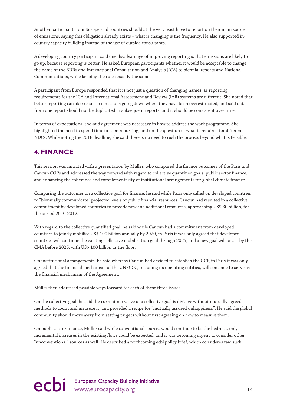Another participant from Europe said countries should at the very least have to report on their main source of emissions, saying this obligation already exists – what is changing is the frequency. He also supported incountry capacity building instead of the use of outside consultants.

A developing country participant said one disadvantage of improving reporting is that emissions are likely to go up, because reporting is better. He asked European participants whether it would be acceptable to change the name of the BURs and International Consultation and Analysis (ICA) to biennial reports and National Communications, while keeping the rules exactly the same.

A participant from Europe responded that it is not just a question of changing names, as reporting requirements for the ICA and International Assessment and Review (IAR) systems are different. She noted that better reporting can also result in emissions going down where they have been overestimated, and said data from one report should not be duplicated in subsequent reports, and it should be consistent over time.

In terms of expectations, she said agreement was necessary in how to address the work programme. She highlighted the need to spend time first on reporting, and on the question of what is required for different NDCs. While noting the 2018 deadline, she said there is no need to rush the process beyond what is feasible.

# **4. FINANCE**

This session was initiated with a presentation by Müller, who compared the finance outcomes of the Paris and Cancun COPs and addressed the way forward with regard to collective quantified goals, public sector finance, and enhancing the coherence and complementarity of institutional arrangements for global climate finance.

Comparing the outcomes on a collective goal for finance, he said while Paris only called on developed countries to "biennially communicate" projected levels of public financial resources, Cancun had resulted in a collective commitment by developed countries to provide new and additional resources, approaching US\$ 30 billion, for the period 2010-2012.

With regard to the collective quantified goal, he said while Cancun had a commitment from developed countries to jointly mobilise US\$ 100 billion annually by 2020, in Paris it was only agreed that developed countries will continue the existing collective mobilization goal through 2025, and a new goal will be set by the CMA before 2025, with US\$ 100 billion as the floor.

On institutional arrangements, he said whereas Cancun had decided to establish the GCF, in Paris it was only agreed that the financial mechanism of the UNFCCC, including its operating entities, will continue to serve as the financial mechanism of the Agreement.

Müller then addressed possible ways forward for each of these three issues.

On the collective goal, he said the current narrative of a collective goal is divisive without mutually agreed methods to count and measure it, and provided a recipe for "mutually assured unhappiness". He said the global community should move away from setting targets without first agreeing on how to measure them.

On public sector finance, Müller said while conventional sources would continue to be the bedrock, only incremental increases in the existing flows could be expected, and it was becoming urgent to consider other "unconventional" sources as well. He described a forthcoming ecbi policy brief, which consideres two such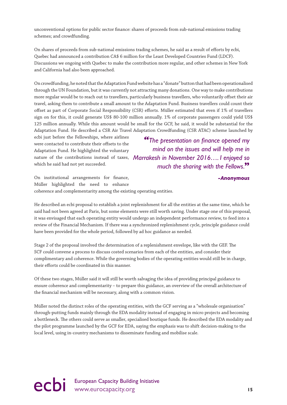unconventional options for public sector finance: shares of proceeds from sub-national emissions trading schemes; and crowdfunding.

On shares of proceeds from sub-national emissions trading schemes, he said as a result of efforts by ecbi, Quebec had announced a contribution CA\$ 6 million for the Least Developed Countries Fund (LDCF). Discussions we ongoing with Quebec to make the contribution more regular, and other schemes in New York and California had also been approached.

On crowdfunding, he noted that the Adaptation Fund website has a "donate" button that had been operationalised through the UN Foundation, but it was currently not attracting many donations. One way to make contributions more regular would be to reach out to travellers, particularly business travellers, who voluntarily offset their air travel, asking them to contribute a small amount to the Adaptation Fund. Business travellers could count their offset as part of Corporate Social Responsibility (CSR) efforts. Müller estimated that even if 1% of travellers sign on for this, it could generate US\$ 80-100 million annually. 1% of corporate passengers could yield US\$ 125 million annually. While this amount would be small for the GCF, he said, it would be substantial for the Adaptation Fund. He described a CSR Air Travel Adaptation Crowdfunding (CSR ATAC) scheme launched by

ecbi just before the Fellowships, where airlines were contacted to contribute their offsets to the Adaptation Fund. He highlighted the voluntary which he said had not yet succeeded.

nature of the contributions instead of taxes, *Marrakesh in November 2016…. I enjoyed so "The presentation on finance opened my mind on the issues and will help me in much the sharing with the Fellows.***"**

*-Anonymous*

On institutional arrangements for finance, Müller highlighted the need to enhance coherence and complementarity among the existing operating entities.

He described an ecbi proposal to establish a joint replenishment for all the entities at the same time, which he said had not been agreed at Paris, but some elements were still worth saving. Under stage one of this proposal, it was envisaged that each operating entity would undergo an independent performance review, to feed into a review of the Financial Mechanism. If there was a synchronized replenishment cycle, principle guidance could have been provided for the whole period, followed by ad hoc guidance as needed.

Stage 2 of the proposal involved the determination of a replenishment envelope, like with the GEF. The SCF could convene a process to discuss costed scenarios from each of the entities, and consider their complimentary and coherence. While the governing bodies of the operating entities would still be in charge, their efforts could be coordinated in this manner.

Of these two stages, Müller said it will still be worth salvaging the idea of providing principal guidance to ensure coherence and complementarity – to prepare this guidance, an overview of the overall architecture of the financial mechanism will be necessary, along with a common vision.

Müller noted the distinct roles of the operating entities, with the GCF serving as a "wholesale organisation" through-putting funds mainly through the EDA modality instead of engaging in micro projects and becoming a bottleneck. The others could serve as smaller, specialised boutique funds. He described the EDA modality and the pilot programme launched by the GCF for EDA, saying the emphasis was to shift decision-making to the local level, using in-country mechanisms to disseminate funding and mobilise scale.

ecbi European Capacity Building Initiative<br> **15** www.eurocapacity.org **15**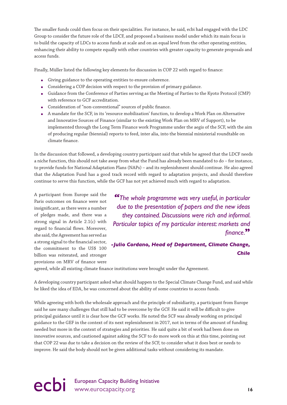The smaller funds could then focus on their specialities. For instance, he said, ecbi had engaged with the LDC Group to consider the future role of the LDCF, and proposed a business model under which its main focus is to build the capacity of LDCs to access funds at scale and on an equal level from the other operating entities, enhancing their ability to compete equally with other countries with greater capacity to generate proposals and access funds.

Finally, Müller listed the following key elements for discussion in COP 22 with regard to finance:

- Giving guidance to the operating entities to ensure coherence.
- Considering a COP decision with respect to the provision of primary guidance.
- Guidance from the Conference of Parties serving as the Meeting of Parties to the Kyoto Protocol (CMP) with reference to GCF accreditation.
- Consideration of "non-conventional" sources of public finance.
- A mandate for the SCF, in its 'resource mobilization' function, to develop a Work Plan on Alternative and Innovative Sources of Finance (similar to the existing Work Plan on MRV of Support), to be implemented through the Long Term Finance work Programme under the aegis of the SCF, with the aim of producing regular (biennial) reports to feed, inter alia, into the biennial ministerial roundtable on climate finance.

In the discussion that followed, a developing country participant said that while he agreed that the LDCF needs a niche function, this should not take away from what the Fund has already been mandated to do – for instance, to provide funds for National Adaptation Plans (NAPs) – and its replenishment should continue. He also agreed that the Adaptation Fund has a good track record with regard to adaptation projects, and should therefore continue to serve this function, while the GCF has not yet achieved much with regard to adaptation.

A participant from Europe said the Paris outcomes on finance were not insignificant, as there were a number of pledges made, and there was a strong signal in Article 2.1(c) with regard to financial flows. Moreover, she said, the Agreement has served as a strong signal to the financial sector, the commitment to the US\$ 100 billion was reiterated, and stronger provisions on MRV of finance were

*"The whole programme was very useful, in particular due to the presentation of papers and the new ideas they contained. Discussions were rich and informal. Particular topics of my particular interest: markets and finance.***"**

### *-Julio Cordano, Head of Department, Climate Change, Chile*

agreed, while all existing climate finance institutions were brought under the Agreement.

A developing country participant asked what should happen to the Special Climate Change Fund, and said while he liked the idea of EDA, he was concerned about the ability of some countries to access funds.

While agreeing with both the wholesale approach and the principle of subsidiarity, a participant from Europe said he saw many challenges that still had to be overcome by the GCF. He said it will be difficult to give principal guidance until it is clear how the GCF works. He noted the SCF was already working on principal guidance to the GEF in the context of its next replenishment in 2017, not in terms of the amount of funding needed but more in the context of strategies and priorities. He said quite a bit of work had been done on innovative sources, and cautioned against asking the SCF to do more work on this at this time, pointing out that COP 22 was due to take a decision on the review of the SCF, to consider what it does best or needs to improve. He said the body should not be given additional tasks without considering its mandate.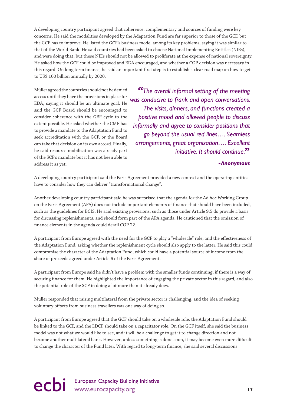A developing country participant agreed that coherence, complementary and sources of funding were key concerns. He said the modalities developed by the Adaptation Fund are far superior to those of the GCF, but the GCF has to improve. He listed the GCF's business model among its key problems, saying it was similar to that of the World Bank. He said countries had been asked to choose National Implementing Entitles (NIEs), and were doing that, but these NIEs should not be allowed to proliferate at the expense of national sovereignty. He asked how the GCF could be improved and EDA encouraged, and whether a COP decision was necessary in this regard. On long term finance, he said an important first step is to establish a clear road map on how to get to US\$ 100 billion annually by 2020.

Müller agreed the countries should not be denied access until they have the provisions in place for EDA, saying it should be an ultimate goal. He said the GCF Board should be encouraged to consider coherence with the GEF cycle to the extent possible. He asked whether the CMP has to provide a mandate to the Adaptation Fund to seek accreditation with the GCF, or the Board can take that decision on its own accord. Finally, he said resource mobilization was already part of the SCF's mandate but it has not been able to address it as yet.

*"The overall informal setting of the meeting was conducive to frank and open conversations. The visits, dinners, and functions created a positive mood and allowed people to discuss informally and agree to consider positions that go beyond the usual red lines…. Seamless arrangements, great organisation…. Excellent initiative. It should continue.***"**

#### *-Anonymous*

A developing country participant said the Paris Agreement provided a new context and the operating entities have to consider how they can deliver "transformational change".

Another developing country participant said he was surprised that the agenda for the Ad hoc Working Group on the Paris Agreement (APA) does not include important elements of finance that should have been included, such as the guidelines for BCIS. He said existing provisions, such as those under Article 9.5 do provide a basis for discussing replenishments, and should form part of the APA agenda. He cautioned that the omission of finance elements in the agenda could derail COP 22.

A participant from Europe agreed with the need for the GCF to play a "wholesale" role, and the effectiveness of the Adaptation Fund, asking whether the replenishment cycle should also apply to the latter. He said this could compromise the character of the Adaptation Fund, which could have a potential source of income from the share of proceeds agreed under Article 6 of the Paris Agreement.

A participant from Europe said he didn't have a problem with the smaller funds continuing, if there is a way of securing finance for them. He highlighted the importance of engaging the private sector in this regard, and also the potential role of the SCF in doing a lot more than it already does.

Müller responded that raising multilateral from the private sector is challenging, and the idea of seeking voluntary offsets from business travellers was one way of doing so.

A participant from Europe agreed that the GCF should take on a wholesale role, the Adaptation Fund should be linked to the GCF, and the LDCF should take on a capacitator role. On the GCF itself, she said the business model was not what we would like to see, and it will be a challenge to get it to change direction and not become another multilateral bank. However, unless something is done soon, it may become even more difficult to change the character of the Fund later. With regard to long-term finance, she said several discussions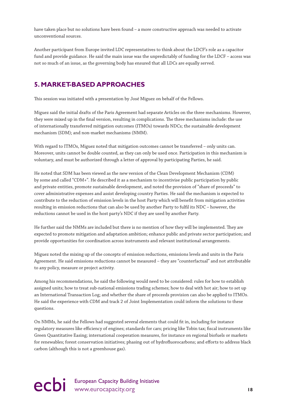have taken place but no solutions have been found – a more constructive approach was needed to activate unconventional sources.

Another participant from Europe invited LDC representatives to think about the LDCF's role as a capacitor fund and provide guidance. He said the main issue was the unpredictably of funding for the LDCF – access was not so much of an issue, as the governing body has ensured that all LDCs are equally served.

### **5. MARKET-BASED APPROACHES**

This session was initiated with a presentation by José Miguez on behalf of the Fellows.

Miguez said the initial drafts of the Paris Agreement had separate Articles on the three mechanisms. However, they were mixed up in the final version, resulting in complications. The three mechanisms include: the use of internationally transferred mitigation outcomes (ITMOs) towards NDCs; the sustainable development mechanism (SDM); and non-market mechanisms (NMM).

With regard to ITMOs, Miguez noted that mitigation outcomes cannot be transferred – only units can. Moreover, units cannot be double counted, as they can only be used once. Participation in this mechanism is voluntary, and must be authorized through a letter of approval by participating Parties, he said.

He noted that SDM has been viewed as the new version of the Clean Development Mechanism (CDM) by some and called "CDM+". He described it as a mechanism to incentivise public participation by public and private entities, promote sustainable development, and noted the provision of "share of proceeds" to cover administrative expenses and assist developing country Parties. He said the mechanism is expected to contribute to the reduction of emission levels in the host Party which will benefit from mitigation activities resulting in emission reductions that can also be used by another Party to fulfil its NDC – however, the reductions cannot be used in the host party's NDC if they are used by another Party.

He further said the NMMs are included but there is no mention of how they will be implemented. They are expected to promote mitigation and adaptation ambition; enhance public and private sector participation; and provide opportunities for coordination across instruments and relevant institutional arrangements.

Miguez noted the mixing up of the concepts of emission reductions, emissions levels and units in the Paris Agreement. He said emissions reductions cannot be measured – they are "counterfactual" and not attributable to any policy, measure or project activity.

Among his recommendations, he said the following would need to be considered: rules for how to establish assigned units; how to treat sub-national emissions trading schemes; how to deal with hot air; how to set up an International Transaction Log; and whether the share of proceeds provision can also be applied to ITMOs. He said the experience with CDM and track 2 of Joint Implementation could inform the solutions to these questions.

On NMMs, he said the Fellows had suggested several elements that could fit in, including for instance regulatory measures like efficiency of engines; standards for cars; pricing like Tobin tax; fiscal instruments like Green Quantitative Easing; international cooperation measures, for instance on regional biofuels or markets for renewables; forest conservation initiatives; phasing out of hydrofluorocarbons; and efforts to address black carbon (although this is not a greenhouse gas).

# ecbi European Capacity Building Initiative<br>
18<br> **18**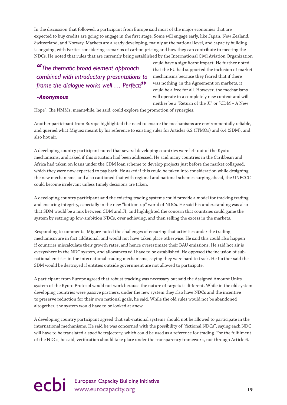In the discussion that followed, a participant from Europe said most of the major economies that are expected to buy credits are going to engage in the first stage. Some will engage early, like Japan, New Zealand, Switzerland, and Norway. Markets are already developing, mainly at the national level, and capacity building is ongoing, with Parties considering scenarios of carbon pricing and how they can contribute to meeting the NDCs. He noted that rules that are currently being established by the International Civil Aviation Organization

# *"The thematic broad element approach combined with introductory presentations to frame the dialogue works well … Perfect!***"**

*-Anonymous*

could have a significant impact. He further noted that the EU had supported the inclusion of market mechanisms because they feared that if there was nothing in the Agreement on markets, it could be a free for all. However, the mechanisms will operate in a completely new context and will neither be a "Return of the JI" or "CDM – A New

Hope". The NMMs, meanwhile, he said, could explore the promotion of synergies.

Another participant from Europe highlighted the need to ensure the mechanisms are environmentally reliable, and queried what Miguez meant by his reference to existing rules for Articles 6.2 (ITMOs) and 6.4 (SDM), and also hot air.

A developing country participant noted that several developing countries were left out of the Kyoto mechanisms, and asked if this situation had been addressed. He said many countries in the Caribbean and Africa had taken on loans under the CDM loan scheme to develop projects just before the market collapsed, which they were now expected to pay back. He asked if this could be taken into consideration while designing the new mechanisms, and also cautioned that with regional and national schemes surging ahead, the UNFCCC could become irrelevant unless timely decisions are taken.

A developing country participant said the existing trading systems could provide a model for tracking trading and ensuring integrity, especially in the new "bottom-up" world of NDCs. He said his understanding was also that SDM would be a mix between CDM and JI, and highlighted the concern that countries could game the system by setting up low-ambition NDCs, over achieving, and then selling the excess in the markets.

Responding to comments, Miguez noted the challenges of ensuring that activities under the trading mechanism are in fact additional, and would not have taken place otherwise. He said this could also happen if countries miscalculate their growth rates, and hence overestimate their BAU emissions. He said hot air is everywhere in the NDC system, and allowances will have to be established. He opposed the inclusion of subnational entities in the international trading mechanisms, saying they were hard to track. He further said the SDM would be destroyed if entities outside government are not allowed to participate.

A participant from Europe agreed that robust tracking was necessary but said the Assigned Amount Units system of the Kyoto Protocol would not work because the nature of targets is different. While in the old system developing countries were passive partners, under the new system they also have NDCs and the incentive to preserve reduction for their own national goals, he said. While the old rules would not be abandoned altogether, the system would have to be looked at anew.

A developing country participant agreed that sub-national systems should not be allowed to participate in the international mechanisms. He said he was concerned with the possibility of "fictional NDCs", saying each NDC will have to be translated a specific trajectory, which could be used as a reference for trading. For the fulfilment of the NDCs, he said, verification should take place under the transparency framework, not through Article 6.

# ecbi European Capacity Building Initiative<br>
19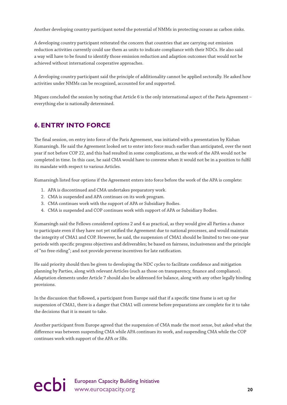Another developing country participant noted the potential of NMMs in protecting oceans as carbon sinks.

A developing country participant reiterated the concern that countries that are carrying out emission reduction activities currently could use them as units to indicate compliance with their NDCs. He also said a way will have to be found to identify those emission reduction and adaption outcomes that would not be achieved without international cooperative approaches.

A developing country participant said the principle of additionality cannot be applied sectorally. He asked how activities under NMMs can be recognized, accounted for and supported.

Miguez concluded the session by noting that Article 6 is the only international aspect of the Paris Agreement – everything else is nationally determined.

### **6. ENTRY INTO FORCE**

The final session, on entry into force of the Paris Agreement, was initiated with a presentation by Kishan Kumarsingh. He said the Agreement looked set to enter into force much earlier than anticipated, over the next year if not before COP 22, and this had resulted in some complications, as the work of the APA would not be completed in time. In this case, he said CMA would have to convene when it would not be in a position to fulfil its mandate with respect to various Articles.

Kumarsingh listed four options if the Agreement enters into force before the work of the APA is complete:

- 1. APA is discontinued and CMA undertakes preparatory work.
- 2. CMA is suspended and APA continues on its work program.
- 3. CMA continues work with the support of APA or Subsidiary Bodies.
- 4. CMA is suspended and COP continues work with support of APA or Subsidiary Bodies.

Kumarsingh said the Fellows considered options 2 and 4 as practical, as they would give all Parties a chance to participate even if they have not yet ratified the Agreement due to national processes, and would maintain the integrity of CMA1 and COP. However, he said, the suspension of CMA1 should be limited to two one-year periods with specific progress objectives and deliverables; be based on fairness, inclusiveness and the principle of "no free-riding"; and not provide perverse incentives for late ratification.

He said priority should then be given to developing the NDC cycles to facilitate confidence and mitigation planning by Parties, along with relevant Articles (such as those on transparency, finance and compliance). Adaptation elements under Article 7 should also be addressed for balance, along with any other legally binding provisions.

In the discussion that followed, a participant from Europe said that if a specific time frame is set up for suspension of CMA1, there is a danger that CMA1 will convene before preparations are complete for it to take the decisions that it is meant to take.

Another participant from Europe agreed that the suspension of CMA made the most sense, but asked what the difference was between suspending CMA while APA continues its work, and suspending CMA while the COP continues work with support of the APA or SBs.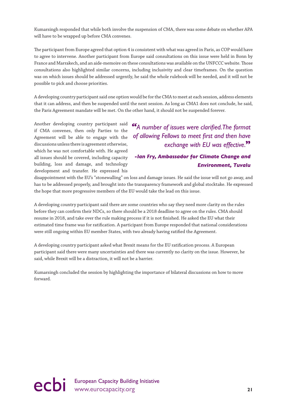Kumarsingh responded that while both involve the suspension of CMA, there was some debate on whether APA will have to be wrapped up before CMA convenes.

The participant from Europe agreed that option 4 is consistent with what was agreed in Paris, as COP would have to agree to intervene. Another participant from Europe said consultations on this issue were held in Bonn by France and Marrakech, and an aide-memoire on these consultations was available on the UNFCCC website. Those consultations also highlighted similar concerns, including inclusivity and clear timeframes. On the question was on which issues should be addressed urgently, he said the whole rulebook will be needed, and it will not be possible to pick and choose priorities.

A developing country participant said one option would be for the CMA to meet at each session, address elements that it can address, and then be suspended until the next session. As long as CMA1 does not conclude, he said, the Paris Agreement mandate will be met. On the other hand, it should not be suspended forever.

Another developing country participant said if CMA convenes, then only Parties to the Agreement will be able to engage with the discussions unless there is agreement otherwise, which he was not comfortable with. He agreed all issues should be covered, including capacity building, loss and damage, and technology development and transfer. He expressed his

*"A number of issues were clarified. The format of allowing Fellows to meet first and then have exchange with EU was effective.***"**

### *-Ian Fry, Ambassador for Climate Change and Environment, Tuvalu*

disappointment with the EU's "stonewalling" on loss and damage issues. He said the issue will not go away, and has to be addressed properly, and brought into the transparency framework and global stocktake. He expressed the hope that more progressive members of the EU would take the lead on this issue.

A developing country participant said there are some countries who say they need more clarity on the rules before they can confirm their NDCs, so there should be a 2018 deadline to agree on the rules. CMA should resume in 2018, and take over the rule making process if it is not finished. He asked the EU what their estimated time frame was for ratification. A participant from Europe responded that national considerations were still ongoing within EU member States, with two already having ratified the Agreement.

A developing country participant asked what Brexit means for the EU ratification process. A European participant said there were many uncertainties and there was currently no clarity on the issue. However, he said, while Brexit will be a distraction, it will not be a barrier.

Kumarsingh concluded the session by highlighting the importance of bilateral discussions on how to move forward.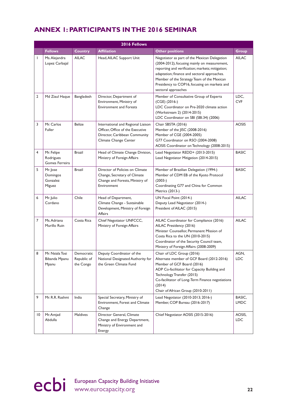# **ANNEX 1: PARTICIPANTS IN THE 2016 SEMINAR**

|    | 2016 Fellows                               |                                        |                                                                                                                                  |                                                                                                                                                                                                                                                                                                                       |                       |
|----|--------------------------------------------|----------------------------------------|----------------------------------------------------------------------------------------------------------------------------------|-----------------------------------------------------------------------------------------------------------------------------------------------------------------------------------------------------------------------------------------------------------------------------------------------------------------------|-----------------------|
|    | <b>Fellows</b>                             | <b>Country</b>                         | <b>Affiliation</b>                                                                                                               | <b>Other positions</b>                                                                                                                                                                                                                                                                                                | <b>Group</b>          |
| I  | Ms. Alejandra<br>Lopez Carbajal            | <b>AILAC</b>                           | Head, AILAC Support Unit                                                                                                         | Negotiator as part of the Mexican Delegation<br>(2004-2012), focusing mainly on measurement,<br>reporting and verification; markets; mitigation;<br>adaptation; finance and sectoral approaches.<br>Member of the Strategy Team of the Mexican<br>Presidency to COP16, focusing on markets and<br>sectoral approaches | <b>AILAC</b>          |
| 2  | Md Ziaul Haque                             | Bangladesh                             | Director, Department of<br>Environment, Ministry of<br><b>Environment and Forests</b>                                            | Member of Consultative Group of Experts<br>$(CGE)$ (2016-)<br>LDC Coordinator on Pre-2020 climate action<br>(Workstream 2) (2014-2015)<br>LDC Coordinator on SBI (SBI.34) (2006)                                                                                                                                      | LDC,<br><b>CVF</b>    |
| 3  | Mr. Carlos<br>Fuller                       | <b>Belize</b>                          | International and Regional Liaison<br>Officer, Office of the Executive<br>Director, Caribbean Community<br>Climate Change Center | Chair SBSTA (2016)<br>Member of the JISC (2008-2016)<br>Member of CGE (2004-2005)<br>G77 Coordinator on RSO (2004-2008)<br>AOSIS Coordinator on Technology (2008-2015)                                                                                                                                                | <b>AOSIS</b>          |
| 4  | Mr. Felipe<br>Rodrigues<br>Gomes Ferreira  | <b>Brazil</b>                          | Head of Climate Change Division,<br>Ministry of Foreign Affairs                                                                  | Lead Negotiator REDD+ (2013-2015)<br>Lead Negotiator Mitigation (2014-2015)                                                                                                                                                                                                                                           | <b>BASIC</b>          |
| 5  | Mr. Jose<br>Domingos<br>Gonzalez<br>Miguez | <b>Brazil</b>                          | Director of Policies on Climate<br>Change, Secretary of Climate<br>Change and Forests, Ministry of<br>Environment                | Member of Brazilian Delegation (1994-)<br>Member of CDM EB of the Kyoto Protocol<br>$(2003-)$<br>Coordinating G77 and China for Common<br>Metrics (2013-)                                                                                                                                                             | <b>BASIC</b>          |
| 6  | Mr. Julio<br>Cordano                       | Chile                                  | Head of Department,<br>Climate Change - Sustainable<br>Development, Ministry of Foreign<br>Affairs                               | UN Focal Point (2014-)<br>Deputy Lead Negotiator (2014-)<br>President of AILAC (2015)                                                                                                                                                                                                                                 | <b>AILAC</b>          |
| 7  | Ms. Adriana<br>Murillo Ruin                | Costa Rica                             | Chief Negotiator UNFCCC,<br>Ministry of Foreign Affairs                                                                          | AILAC Coordinator for Compliance (2016)<br>AILAC Presidency (2016)<br>Minister Counsellor, Permanent Mission of<br>Costa Rica to the UN (2010-2015)<br>Coordinator of the Security Council team,<br>Ministry of Foreign Affairs (2008-2009)                                                                           | <b>AILAC</b>          |
| 8  | Mr. Nsiala Tosi<br>Bibanda Mpanu<br>Mpanu  | Democratic<br>Republic of<br>the Congo | Deputy Coordinator of the<br>National Designated Authority for<br>the Green Climate Fund                                         | Chair of LDC Group (2016)<br>Alternate member of GCF Board (2012-2016)<br>Member of GCF Board (2016)<br>ADP Co-facilitator for Capacity Building and<br>Technology Transfer (2015)<br>Co-facilitator of Long-Term Finance negotiations<br>(2014)<br>Chair of African Group (2010-2011)                                | AGN,<br><b>LDC</b>    |
| 9  | Mr. R.R. Rashmi                            | India                                  | Special Secretary, Ministry of<br>Environment, Forest and Climate<br>Change                                                      | Lead Negotiator (2010-2013; 2016-)<br>Member, COP Bureau (2016-2017)                                                                                                                                                                                                                                                  | BASIC,<br><b>LMDC</b> |
| 10 | Mr. Amjad<br>Abdulla                       | Maldives                               | Director General, Climate<br>Change and Energy Department,<br>Ministry of Environment and<br>Energy                              | Chief Negotiator AOSIS (2015-2016)                                                                                                                                                                                                                                                                                    | AOSIS,<br>LDC         |

ecbi European Capacity Building Initiative **22**<br>
22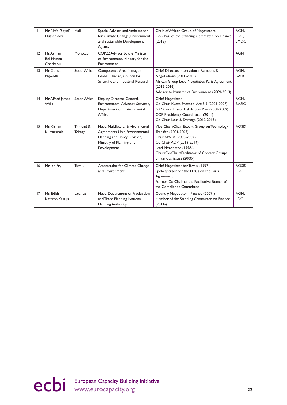| $\mathbf{H}$ | Mr. Nafo "Seyni"<br>Hussen Alfa             | Mali                 | Special Adviser and Ambassador<br>for Climate Change, Environment<br>and Sustainable Development<br>Agency                                     | Chair of African Group of Negotiators<br>Co-Chair of the Standing Committee on Finance<br>(2015)                                                                                                                                   | AGN.<br>LDC.<br><b>LMDC</b> |
|--------------|---------------------------------------------|----------------------|------------------------------------------------------------------------------------------------------------------------------------------------|------------------------------------------------------------------------------------------------------------------------------------------------------------------------------------------------------------------------------------|-----------------------------|
| 12           | Mr. Ayman<br><b>Bel Hassan</b><br>Cherkaoui | Morocco              | COP22 Advisor to the Minister<br>of Environment, Ministry for the<br>Environment                                                               |                                                                                                                                                                                                                                    | <b>AGN</b>                  |
| 13           | Mr. Xolisa<br>Ngwadla                       | South Africa         | Competence Area Manager,<br>Global Change, Council for<br>Scientific and Industrial Research                                                   | Chief Director, International Relations &<br>Negotiations (2011-2013)<br>African Group Lead Negotiator, Paris Agreement<br>$(2012 - 2016)$<br>Advisor to Minister of Environment (2009-2013)                                       | AGN,<br><b>BASIC</b>        |
| $ 4\rangle$  | Mr. Alfred James<br>Wills                   | South Africa         | Deputy Director General,<br><b>Environmental Advisory Services,</b><br>Department of Environmental<br>Affairs                                  | Chief Negotiator<br>Co-Chair Kyoto Protocol Art 3.9 (2005-2007)<br>G77 Coordinator Bali Action Plan (2008-2009)<br>COP Presidency Coordinator (2011)<br>Co-Chair Loss & Damage (2012-2013)                                         | AGN,<br><b>BASIC</b>        |
| 15           | Mr. Kishan<br>Kumarsingh                    | Trinidad &<br>Tobago | Head, Multilateral Environmental<br>Agreements Unit, Environmental<br>Planning and Policy Division,<br>Ministry of Planning and<br>Development | Vice-Chair/Chair Expert Group on Technology<br>Transfer (2004-2005)<br>Chair SBSTA (2006-2007)<br>Co-Chair ADP (2013-2014)<br>Lead Negotiator (1998-)<br>Chair/Co-Chair/Facilitator of Contact Groups<br>on various issues (2000-) | <b>AOSIS</b>                |
| 16           | Mr. lan Fry                                 | Tuvalu               | Ambassador for Climate Change<br>and Environment                                                                                               | Chief Negotiator for Tuvalu (1997-)<br>Spokesperson for the LDCs on the Paris<br>Agreement<br>Former Co-Chair of the Facilitative Branch of<br>the Compliance Committee                                                            | AOSIS.<br><b>LDC</b>        |
| 17           | Ms. Edith<br>Kateme-Kasajja                 | Uganda               | Head, Department of Production<br>and Trade Planning, National<br><b>Planning Authority</b>                                                    | Country Negotiator - Finance (2009-)<br>Member of the Standing Committee on Finance<br>$(2011-)$                                                                                                                                   | AGN,<br><b>LDC</b>          |

ecbi European Capacity Building Initiative and Capacity.org 23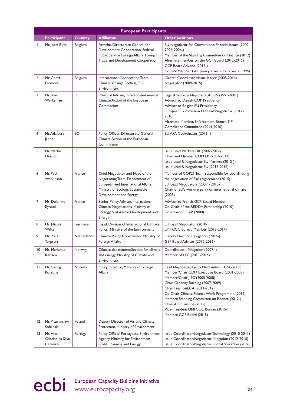|    | <b>European Participants</b>              |                    |                                                                                                                                                                          |                                                                                                                                                                                                                                                                                                                                                                                                            |
|----|-------------------------------------------|--------------------|--------------------------------------------------------------------------------------------------------------------------------------------------------------------------|------------------------------------------------------------------------------------------------------------------------------------------------------------------------------------------------------------------------------------------------------------------------------------------------------------------------------------------------------------------------------------------------------------|
|    | <b>Participant</b>                        | <b>Country</b>     | <b>Affiliation</b>                                                                                                                                                       | <b>Other positions</b>                                                                                                                                                                                                                                                                                                                                                                                     |
| ı  | Mr. Jozef Buys                            | Belgium            | Attaché, Directorate General for<br>Development Cooperation, Federal<br>Public Service Foreign Affairs, Foreign<br>Trade and Development Cooperation                     | EU Negotiator for Convention's financial issues (2000-<br>2002; 2006-)<br>Member of the Standing Committee on Finance (2012)<br>Alternate member on the GCF Board (2012-2015)<br>GCF Board Advisor (2016-)<br>Council Member GEF (every 2 years for 2 years, 1996)                                                                                                                                         |
| 2  | Mr. Geert<br>Fremout                      | Belgium            | International Cooperation Team,<br>Climate Change Section, DG<br>Environment                                                                                             | Cluster Coordinator/Issue leader (2008-2016)<br>Negotiator (2009-2015)                                                                                                                                                                                                                                                                                                                                     |
| 3  | Mr. Jake<br>Werksman                      | EC                 | Principal Adviser, Directorate-General<br>Climate Action of the European<br>Commission                                                                                   | Legal Advisor & Negotiator, AOSIS (1991-2001)<br>Advisor to Danish COP Presidency<br>Advisor to Belgian EU Presidency<br>European Commission EU Lead Negotiator (2012-<br>2016)<br>Alternate Member, Enforcement Branch, KP<br>Compliance Committee (2014-2016)                                                                                                                                            |
| 4  | Mr. Adalbert<br>Jahnz                     | EC                 | Policy Officer, Directorate-General<br>Climate Action of the European<br>Commission                                                                                      | EU APA Coordinator (2016-)                                                                                                                                                                                                                                                                                                                                                                                 |
| 5  | Mr. Martin<br>Hession                     | EC                 |                                                                                                                                                                          | Issue Lead Markets UK (2002-2012)<br>Chair and Member COM EB (2007-2012)<br>Issue Lead & Negotiator EU Markets (2012-)<br>Issue Lead & Negotiator EU (2012-2016)                                                                                                                                                                                                                                           |
| 6  | Mr. Paul<br>Watkinson                     | France             | Chief Negotiator and Head of the<br>Negotiating Team, Department of<br>European and International Affairs,<br>Ministry of Ecology, Sustainable<br>Development and Energy | Member of COP21 Team, responsible for coordinating<br>the negotiation of Paris Agreement (2015)<br>EU Lead Negotiators (2009 - 2013)<br>Chair of EU's working party on international climate<br>(2008)                                                                                                                                                                                                     |
| 7  | Ms. Delphine<br>Eyraud                    | France             | Senior Policy Adviser, International<br>Climate Negotiations, Ministry of<br>Ecology, Sustainable Development and<br>Energy                                              | Advisor to French GCF Board Member<br>Co-Chair of the REDD+ Partnership (2010)<br>Co-Chair of iCAP (2008)                                                                                                                                                                                                                                                                                                  |
| 8  | Ms. Nicole<br>Wilke                       | Germany            | Head, Division of International Climate<br>Policy, Ministry of the Environment                                                                                           | EU Lead Negotiator (2010-)<br>UNFCCC Bureau Member (2013-2014)                                                                                                                                                                                                                                                                                                                                             |
| 9  | Mr. Pieter<br>Terpstra                    | <b>Netherlands</b> | Climate Policy Coordinator, Ministry of<br>Foreign Affairs                                                                                                               | Deputy Head of Delegation (2016-)<br>GEF Board Advisor (2015-2016)                                                                                                                                                                                                                                                                                                                                         |
| 10 | Ms. Marianne<br>Karlsen                   | Norway             | Climate department/Section for climate<br>and energy, Ministry of Climate and<br>Environment                                                                             | Coordinator - Mitigation (2007 -)<br>Member of LEG (2013-2014)                                                                                                                                                                                                                                                                                                                                             |
| П  | Mr. Georg<br><b>Borsting</b>              | Norway             | Policy Director, Ministry of Foreign<br>Affairs                                                                                                                          | Lead Negotiator, Kyoto Mechanisms. (1998-2001)<br>Member/Chair CDM Executive Board (2001-2005)<br>Member/Chair JISC (2005-2008)<br>Chair Capacity Building (2007-2009)<br>Chair Finance/LCA (2011-2012)<br>Co-Chair Climate Finance Work Programme (2012)<br>Member, Standing Committee on Finance (2012-)<br>Chair ADP Finance (2015)<br>Vice-President UNFCCC Bureau (2015-)<br>Member, GCF Board (2015) |
| 12 | Mr. Przemyslaw<br>Sobanski                | Poland             | Deputy Director of Air and Climate<br>Protection, Ministry of Environment                                                                                                |                                                                                                                                                                                                                                                                                                                                                                                                            |
| 13 | Ms. Ana<br>Cristina da Silva<br>Carreiras | Portugal           | Policy Officer, Portuguese Environment<br>Agency, Ministry for Environment,<br>Spatial Planning and Energy                                                               | Issue Coordinator/Negotiator Technology (2010-2011)<br>Issue Coordinator/Negotiator Mitigation (2012-2015)<br>Issue Coordinator/Negotiator Global Stocktake (2016)                                                                                                                                                                                                                                         |

ecbi European Capacity Building Initiative<br>
24